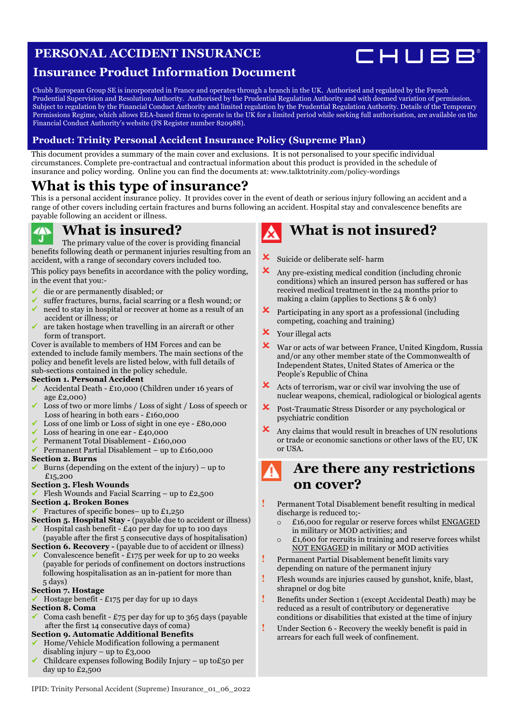### **PERSONAL ACCIDENT INSURANCE**



### **Insurance Product Information Document**

Chubb European Group SE is incorporated in France and operates through a branch in the UK. Authorised and regulated by the French Prudential Supervision and Resolution Authority. Authorised by the Prudential Regulation Authority and with deemed variation of permission. Subject to regulation by the Financial Conduct Authority and limited regulation by the Prudential Regulation Authority. Details of the Temporary Permissions Regime, which allows EEA-based firms to operate in the UK for a limited period while seeking full authorisation, are available on the Financial Conduct Authority's website (FS Register number 820988).

### **Product: Trinity Personal Accident Insurance Policy (Supreme Plan)**

This document provides a summary of the main cover and exclusions. It is not personalised to your specific individual circumstances. Complete pre-contractual and contractual information about this product is provided in the schedule of insurance and policy wording. Online you can find the documents at: [www.talktotrinity.com/policy-wordings](https://www.talktotrinity.com/policy-wordings)

### **What is this type of insurance?**

This is a personal accident insurance policy. It provides cover in the event of death or serious injury following an accident and a range of other covers including certain fractures and burns following an accident. Hospital stay and convalescence benefits are payable following an accident or illness.

### **What is insured?**

The primary value of the cover is providing financial benefits following death or permanent injuries resulting from an accident, with a range of secondary covers included too.

This policy pays benefits in accordance with the policy wording, in the event that you:-

- ü die or are permanently disabled; or
- $\checkmark$  suffer fractures, burns, facial scarring or a flesh wound; or  $\checkmark$  need to stay in hospital or recover at home as a result of an
- ü need to stay in hospital or recover at home as a result of an accident or illness; or
- ü are taken hostage when travelling in an aircraft or other form of transport.

Cover is available to members of HM Forces and can be extended to include family members. The main sections of the policy and benefit levels are listed below, with full details of sub-sections contained in the policy schedule.

#### **Section 1. Personal Accident**

- ü Accidental Death £10,000 (Children under 16 years of age £2,000)
- Loss of two or more limbs / Loss of sight / Loss of speech or Loss of hearing in both ears - £160,000
- Loss of one limb or Loss of sight in one eye £80,000
- Loss of hearing in one ear  $-$  £40,000
- ü Permanent Total Disablement £160,000
- ü Permanent Partial Disablement up to £160,000

#### **Section 2. Burns**

Burns (depending on the extent of the injury) – up to £15,200

#### **Section 3. Flesh Wounds**

Flesh Wounds and Facial Scarring – up to  $£2,500$ 

#### **Section 4. Broken Bones**

- Fractures of specific bones– up to  $£1,250$
- **Section 5. Hospital Stay** (payable due to accident or illness)
- Hospital cash benefit  $£40$  per day for up to 100 days (payable after the first 5 consecutive days of hospitalisation)
- **Section 6. Recovery** (payable due to of accident or illness) Convalescence benefit - £175 per week for up to 20 weeks (payable for periods of confinement on doctors instructions following hospitalisation as an in-patient for more than 5 days)

#### **Section 7. Hostage**

ü Hostage benefit - £175 per day for up 10 days **Section 8. Coma**

Coma cash benefit -  $£75$  per day for up to 365 days (payable after the first 14 consecutive days of coma)

#### **Section 9. Automatic Additional Benefits**

- ü Home/Vehicle Modification following a permanent disabling injury – up to £3,000
- Childcare expenses following Bodily Injury up to £50 per day up to £2,500

## **What is not insured?**

- **X** Suicide or deliberate self- harm
- $\mathbf{\times}$  Any pre-existing medical condition (including chronic conditions) which an insured person has suffered or has received medical treatment in the 24 months prior to making a claim (applies to Sections 5 & 6 only)
- ! Participating in any sport as a professional (including competing, coaching and training)
- **X** Your illegal acts
- X War or acts of war between France, United Kingdom, Russia and/or any other member state of the Commonwealth of Independent States, United States of America or the People's Republic of China
- $\mathsf{\times}\quad$  Acts of terrorism, war or civil war involving the use of nuclear weapons, chemical, radiological or biological agents
- ! Post-Traumatic Stress Disorder or any psychological or psychiatric condition
- ! Any claims that would result in breaches of UN resolutions or trade or economic sanctions or other laws of the EU, UK or USA.

### **Are there any restrictions on cover?**

- **!** Permanent Total Disablement benefit resulting in medical discharge is reduced to;
	- o £16,000 for regular or reserve forces whilst ENGAGED in military or MOD activities; and
	- o £1,600 for recruits in training and reserve forces whilst NOT ENGAGED in military or MOD activities
- **!** Permanent Partial Disablement benefit limits vary depending on nature of the permanent injury
- **!** Flesh wounds are injuries caused by gunshot, knife, blast, shrapnel or dog bite
- **!** Benefits under Section 1 (except Accidental Death) may be reduced as a result of contributory or degenerative conditions or disabilities that existed at the time of injury
- **!** Under Section 6 Recovery the weekly benefit is paid in arrears for each full week of confinement.